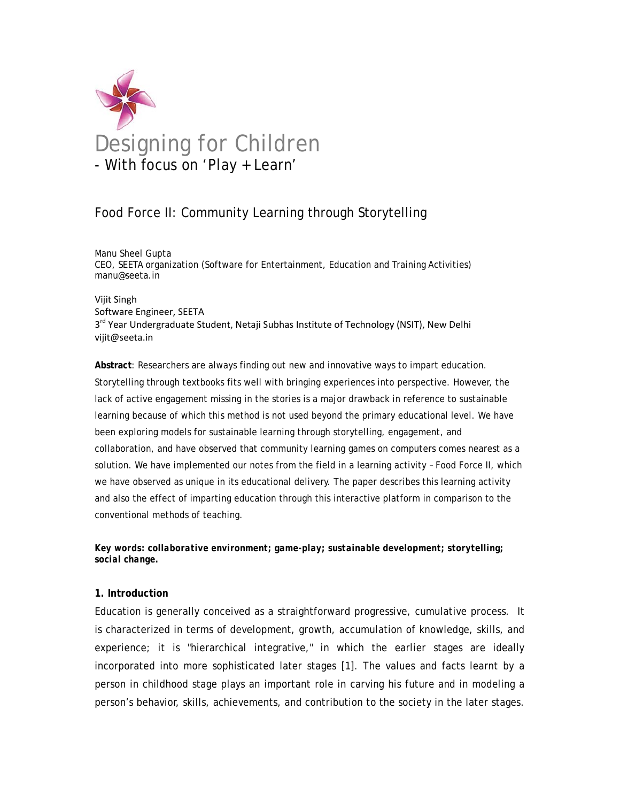

# Food Force II: Community Learning through Storytelling

Manu Sheel Gupta CEO, SEETA organization (Software for Entertainment, Education and Training Activities) manu@seeta.in

#### Vijit Singh Software Engineer, SEETA 3<sup>rd</sup> Year Undergraduate Student, Netaji Subhas Institute of Technology (NSIT), New Delhi vijit@seeta.in

**Abstract**: Researchers are always finding out new and innovative ways to impart education. Storytelling through textbooks fits well with bringing experiences into perspective. However, the lack of active engagement missing in the stories is a major drawback in reference to sustainable learning because of which this method is not used beyond the primary educational level. We have been exploring models for sustainable learning through storytelling, engagement, and collaboration, and have observed that community learning games on computers comes nearest as a solution. We have implemented our notes from the field in a learning activity – Food Force II, which we have observed as unique in its educational delivery. The paper describes this learning activity and also the effect of imparting education through this interactive platform in comparison to the conventional methods of teaching.

*Key words: collaborative environment; game-play; sustainable development; storytelling; social change.* 

#### **1. Introduction**

Education is generally conceived as a straightforward progressive, cumulative process. It is characterized in terms of development, growth, accumulation of knowledge, skills, and experience; it is "hierarchical integrative," in which the earlier stages are ideally incorporated into more sophisticated later stages [1]. The values and facts learnt by a person in childhood stage plays an important role in carving his future and in modeling a person's behavior, skills, achievements, and contribution to the society in the later stages.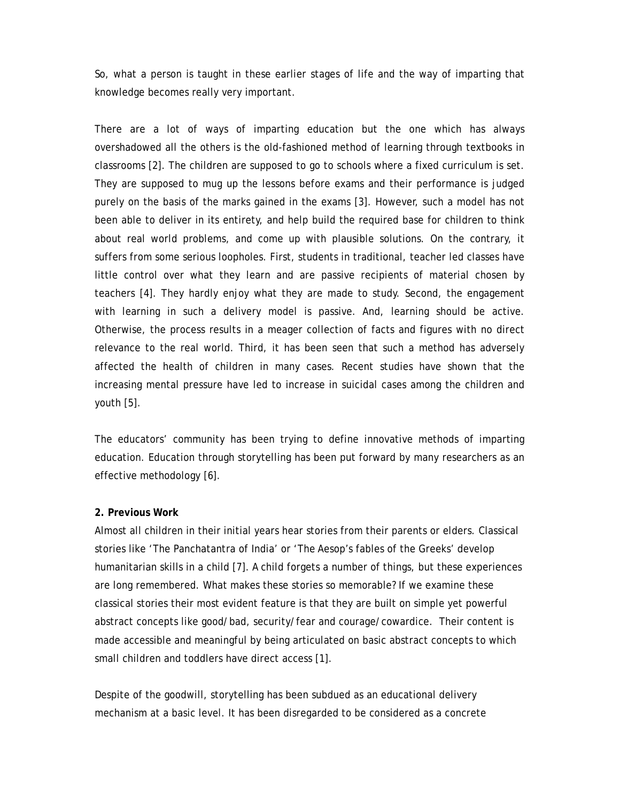So, what a person is taught in these earlier stages of life and the way of imparting that knowledge becomes really very important.

There are a lot of ways of imparting education but the one which has always overshadowed all the others is the old-fashioned method of learning through textbooks in classrooms [2]. The children are supposed to go to schools where a fixed curriculum is set. They are supposed to mug up the lessons before exams and their performance is judged purely on the basis of the marks gained in the exams [3]. However, such a model has not been able to deliver in its entirety, and help build the required base for children to think about real world problems, and come up with plausible solutions. On the contrary, it suffers from some serious loopholes. First, students in traditional, teacher led classes have little control over what they learn and are passive recipients of material chosen by teachers [4]. They hardly enjoy what they are made to study. Second, the engagement with learning in such a delivery model is passive. And, learning should be active. Otherwise, the process results in a meager collection of facts and figures with no direct relevance to the real world. Third, it has been seen that such a method has adversely affected the health of children in many cases. Recent studies have shown that the increasing mental pressure have led to increase in suicidal cases among the children and youth [5].

The educators' community has been trying to define innovative methods of imparting education. Education through storytelling has been put forward by many researchers as an effective methodology [6].

#### **2. Previous Work**

Almost all children in their initial years hear stories from their parents or elders. Classical stories like 'The Panchatantra of India' or 'The Aesop's fables of the Greeks' develop humanitarian skills in a child [7]. A child forgets a number of things, but these experiences are long remembered. What makes these stories so memorable? If we examine these classical stories their most evident feature is that they are built on simple yet powerful abstract concepts like good/bad, security/fear and courage/cowardice. Their content is made accessible and meaningful by being articulated on basic abstract concepts to which small children and toddlers have direct access [1].

Despite of the goodwill, storytelling has been subdued as an educational delivery mechanism at a basic level. It has been disregarded to be considered as a concrete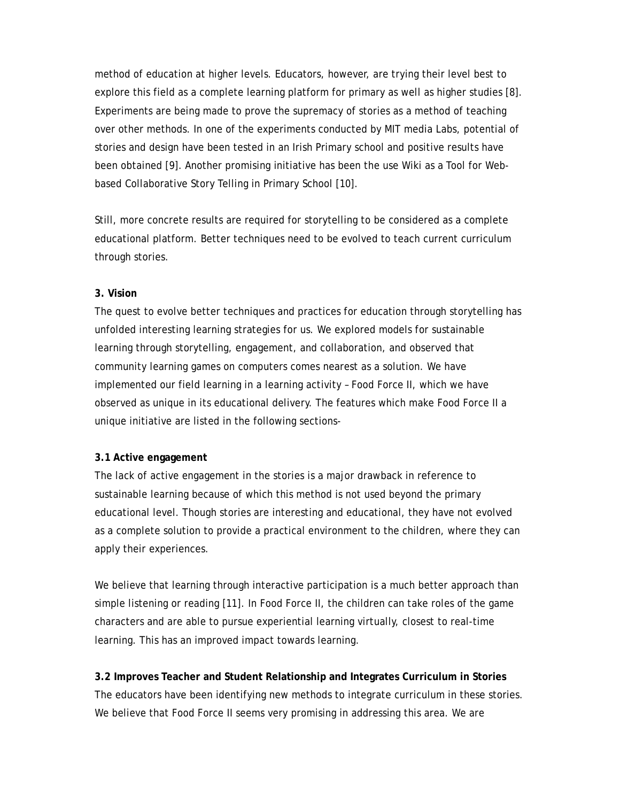method of education at higher levels. Educators, however, are trying their level best to explore this field as a complete learning platform for primary as well as higher studies [8]. Experiments are being made to prove the supremacy of stories as a method of teaching over other methods. In one of the experiments conducted by MIT media Labs, potential of stories and design have been tested in an Irish Primary school and positive results have been obtained [9]. Another promising initiative has been the use Wiki as a Tool for Webbased Collaborative Story Telling in Primary School [10].

Still, more concrete results are required for storytelling to be considered as a complete educational platform. Better techniques need to be evolved to teach current curriculum through stories.

#### **3. Vision**

The quest to evolve better techniques and practices for education through storytelling has unfolded interesting learning strategies for us. We explored models for sustainable learning through storytelling, engagement, and collaboration, and observed that community learning games on computers comes nearest as a solution. We have implemented our field learning in a learning activity – Food Force II, which we have observed as unique in its educational delivery. The features which make Food Force II a unique initiative are listed in the following sections-

#### **3.1 Active engagement**

The lack of active engagement in the stories is a major drawback in reference to sustainable learning because of which this method is not used beyond the primary educational level. Though stories are interesting and educational, they have not evolved as a complete solution to provide a practical environment to the children, where they can apply their experiences.

We believe that learning through interactive participation is a much better approach than simple listening or reading [11]. In Food Force II, the children can take roles of the game characters and are able to pursue experiential learning virtually, closest to real-time learning. This has an improved impact towards learning.

**3.2 Improves Teacher and Student Relationship and Integrates Curriculum in Stories**  The educators have been identifying new methods to integrate curriculum in these stories. We believe that Food Force II seems very promising in addressing this area. We are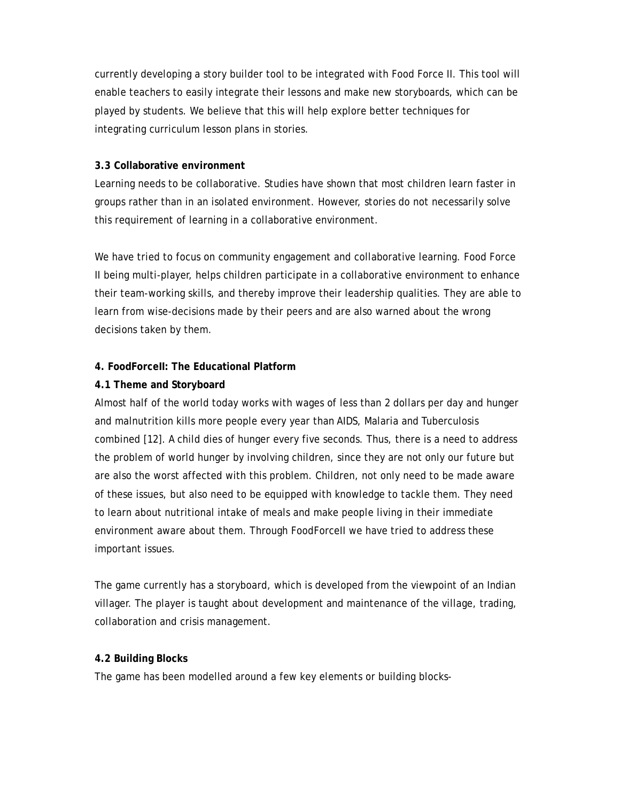currently developing a story builder tool to be integrated with Food Force II. This tool will enable teachers to easily integrate their lessons and make new storyboards, which can be played by students. We believe that this will help explore better techniques for integrating curriculum lesson plans in stories.

#### **3.3 Collaborative environment**

Learning needs to be collaborative. Studies have shown that most children learn faster in groups rather than in an isolated environment. However, stories do not necessarily solve this requirement of learning in a collaborative environment.

We have tried to focus on community engagement and collaborative learning. Food Force II being multi-player, helps children participate in a collaborative environment to enhance their team-working skills, and thereby improve their leadership qualities. They are able to learn from wise-decisions made by their peers and are also warned about the wrong decisions taken by them.

#### **4. FoodForceII: The Educational Platform**

### **4.1 Theme and Storyboard**

Almost half of the world today works with wages of less than 2 dollars per day and hunger and malnutrition kills more people every year than AIDS, Malaria and Tuberculosis combined [12]. A child dies of hunger every five seconds. Thus, there is a need to address the problem of world hunger by involving children, since they are not only our future but are also the worst affected with this problem. Children, not only need to be made aware of these issues, but also need to be equipped with knowledge to tackle them. They need to learn about nutritional intake of meals and make people living in their immediate environment aware about them. Through FoodForceII we have tried to address these important issues.

The game currently has a storyboard, which is developed from the viewpoint of an Indian villager. The player is taught about development and maintenance of the village, trading, collaboration and crisis management.

#### **4.2 Building Blocks**

The game has been modelled around a few key elements or building blocks-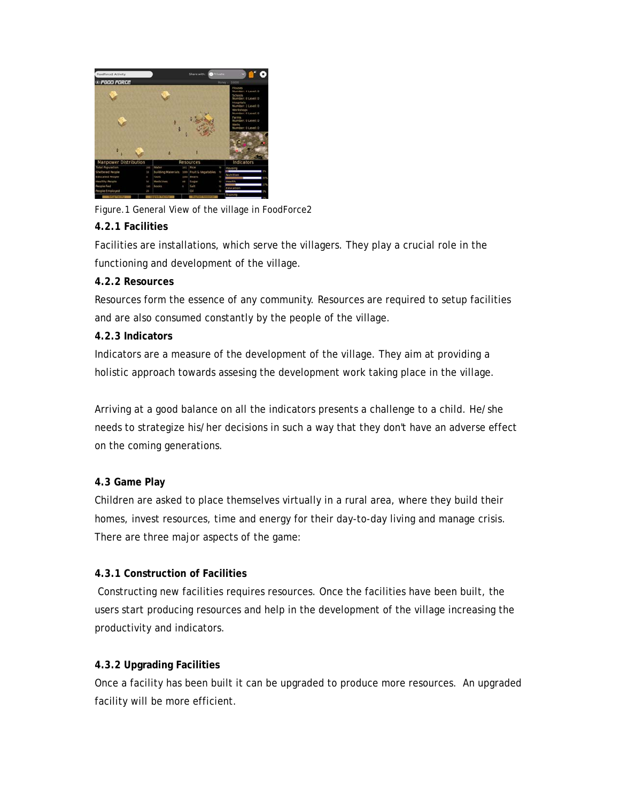

Figure.1 General View of the village in FoodForce2

## **4.2.1 Facilities**

Facilities are installations, which serve the villagers. They play a crucial role in the functioning and development of the village.

## **4.2.2 Resources**

Resources form the essence of any community. Resources are required to setup facilities and are also consumed constantly by the people of the village.

## **4.2.3 Indicators**

Indicators are a measure of the development of the village. They aim at providing a holistic approach towards assesing the development work taking place in the village.

Arriving at a good balance on all the indicators presents a challenge to a child. He/she needs to strategize his/her decisions in such a way that they don't have an adverse effect on the coming generations.

## **4.3 Game Play**

Children are asked to place themselves virtually in a rural area, where they build their homes, invest resources, time and energy for their day-to-day living and manage crisis. There are three major aspects of the game:

## **4.3.1 Construction of Facilities**

 Constructing new facilities requires resources. Once the facilities have been built, the users start producing resources and help in the development of the village increasing the productivity and indicators.

## **4.3.2 Upgrading Facilities**

Once a facility has been built it can be upgraded to produce more resources. An upgraded facility will be more efficient.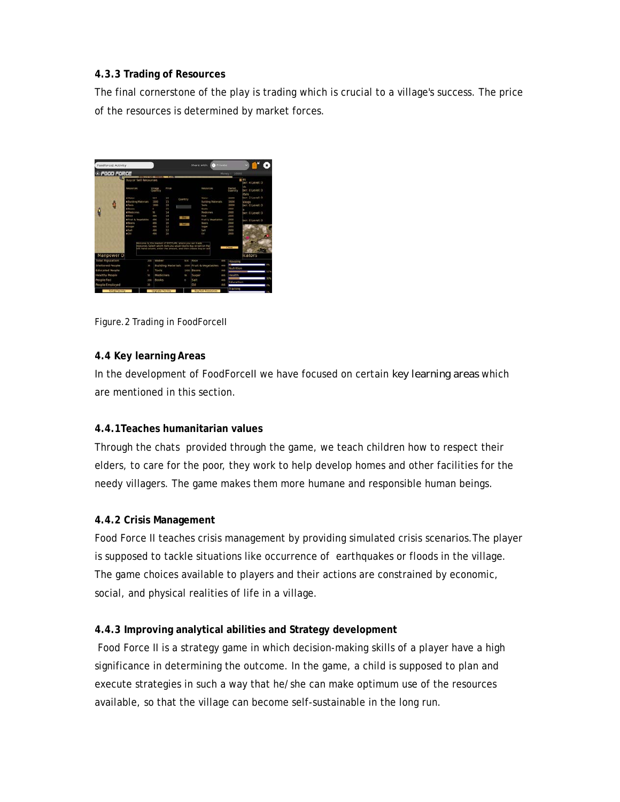## **4.3.3 Trading of Resources**

The final cornerstone of the play is trading which is crucial to a village's success. The price of the resources is determined by market forces.



Figure.2 Trading in FoodForceII

### **4.4 Key learning Areas**

In the development of FoodForceII we have focused on certain *key learning areas* which are mentioned in this section.

## **4.4.1Teaches humanitarian values**

Through the chats provided through the game, we teach children how to respect their elders, to care for the poor, they work to help develop homes and other facilities for the needy villagers. The game makes them more humane and responsible human beings.

#### **4.4.2 Crisis Management**

Food Force II teaches crisis management by providing simulated crisis scenarios.The player is supposed to tackle situations like occurrence of earthquakes or floods in the village. The game choices available to players and their actions are constrained by economic, social, and physical realities of life in a village.

## **4.4.3 Improving analytical abilities and Strategy development**

 Food Force II is a strategy game in which decision-making skills of a player have a high significance in determining the outcome. In the game, a child is supposed to plan and execute strategies in such a way that he/she can make optimum use of the resources available, so that the village can become self-sustainable in the long run.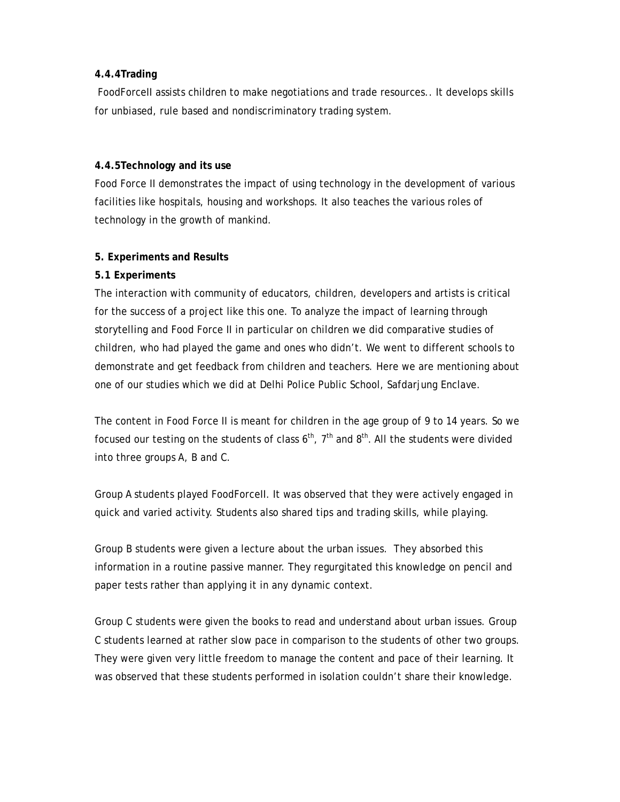## **4.4.4Trading**

 FoodForceII assists children to make negotiations and trade resources.. It develops skills for unbiased, rule based and nondiscriminatory trading system.

### **4.4.5Technology and its use**

Food Force II demonstrates the impact of using technology in the development of various facilities like hospitals, housing and workshops. It also teaches the various roles of technology in the growth of mankind.

## **5. Experiments and Results**

## **5.1 Experiments**

The interaction with community of educators, children, developers and artists is critical for the success of a project like this one. To analyze the impact of learning through storytelling and Food Force II in particular on children we did comparative studies of children, who had played the game and ones who didn't. We went to different schools to demonstrate and get feedback from children and teachers. Here we are mentioning about one of our studies which we did at Delhi Police Public School, Safdarjung Enclave.

The content in Food Force II is meant for children in the age group of 9 to 14 years. So we focused our testing on the students of class  $6<sup>th</sup>$ ,  $7<sup>th</sup>$  and  $8<sup>th</sup>$ . All the students were divided into three groups A, B and C.

Group A students played FoodForceII. It was observed that they were actively engaged in quick and varied activity. Students also shared tips and trading skills, while playing.

Group B students were given a lecture about the urban issues. They absorbed this information in a routine passive manner. They regurgitated this knowledge on pencil and paper tests rather than applying it in any dynamic context.

Group C students were given the books to read and understand about urban issues. Group C students learned at rather slow pace in comparison to the students of other two groups. They were given very little freedom to manage the content and pace of their learning. It was observed that these students performed in isolation couldn't share their knowledge.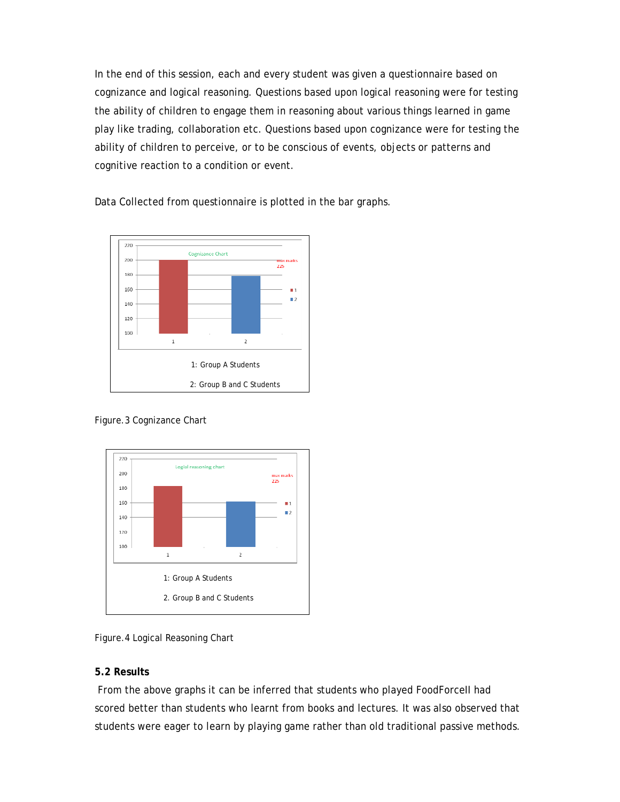In the end of this session, each and every student was given a questionnaire based on cognizance and logical reasoning. Questions based upon logical reasoning were for testing the ability of children to engage them in reasoning about various things learned in game play like trading, collaboration etc. Questions based upon cognizance were for testing the ability of children to perceive, or to be conscious of events, objects or patterns and cognitive reaction to a condition or event.

Data Collected from questionnaire is plotted in the bar graphs.



Figure.3 Cognizance Chart



Figure.4 Logical Reasoning Chart

## **5.2 Results**

 From the above graphs it can be inferred that students who played FoodForceII had scored better than students who learnt from books and lectures. It was also observed that students were eager to learn by playing game rather than old traditional passive methods.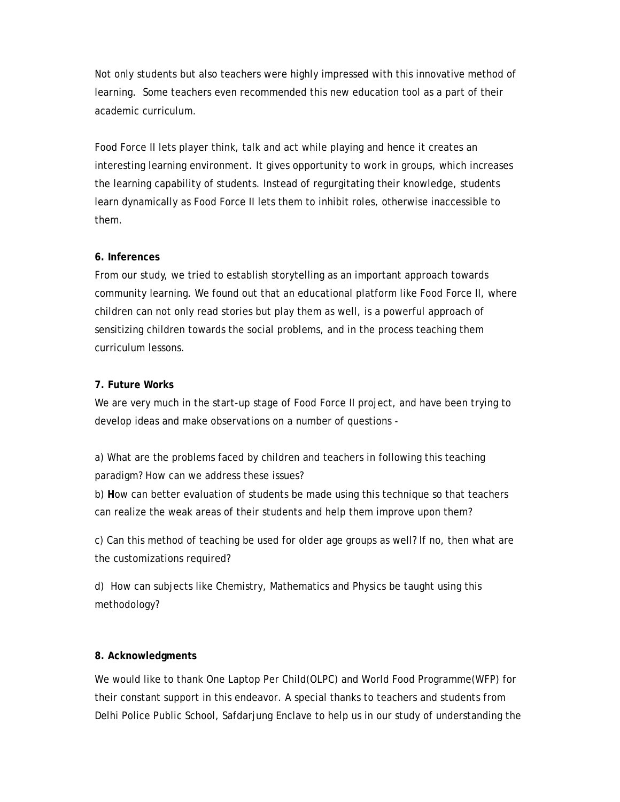Not only students but also teachers were highly impressed with this innovative method of learning. Some teachers even recommended this new education tool as a part of their academic curriculum.

Food Force II lets player think, talk and act while playing and hence it creates an interesting learning environment. It gives opportunity to work in groups, which increases the learning capability of students. Instead of regurgitating their knowledge, students learn dynamically as Food Force II lets them to inhibit roles, otherwise inaccessible to them.

## **6. Inferences**

From our study, we tried to establish storytelling as an important approach towards community learning. We found out that an educational platform like Food Force II, where children can not only read stories but play them as well, is a powerful approach of sensitizing children towards the social problems, and in the process teaching them curriculum lessons.

### **7. Future Works**

We are very much in the start-up stage of Food Force II project, and have been trying to develop ideas and make observations on a number of questions -

a) What are the problems faced by children and teachers in following this teaching paradigm? How can we address these issues?

b) **H**ow can better evaluation of students be made using this technique so that teachers can realize the weak areas of their students and help them improve upon them?

c) Can this method of teaching be used for older age groups as well? If no, then what are the customizations required?

d) How can subjects like Chemistry, Mathematics and Physics be taught using this methodology?

#### **8. Acknowledgments**

We would like to thank One Laptop Per Child(OLPC) and World Food Programme(WFP) for their constant support in this endeavor. A special thanks to teachers and students from Delhi Police Public School, Safdarjung Enclave to help us in our study of understanding the